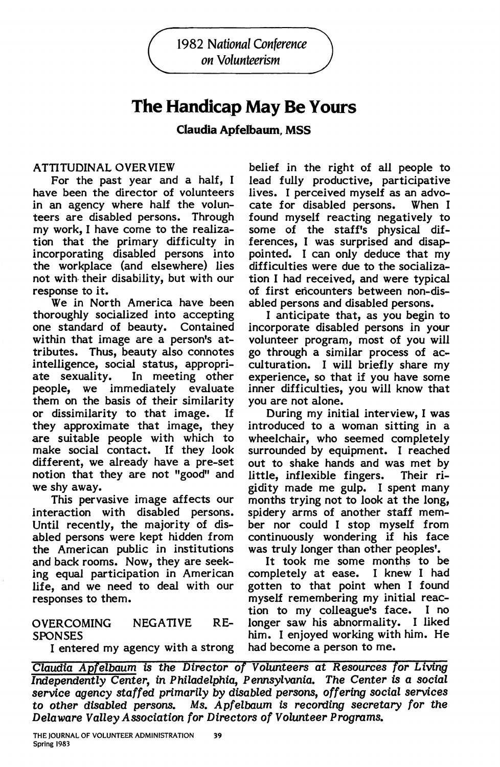1982 National Conference on Volunteerism

# **The Handicap May Be Yours**

**Claudia Apfelbaum, MSS** 

# ATTITUDINAL OVER VIEW

For the past year and a half, I have been the director of volunteers in an agency where half the volunteers are disabled persons. Through my work, I have come to the realization that the primary difficulty in incorporating disabled persons into the workplace (and elsewhere) lies not with their disability, but with our response to it.

We in North America have been thoroughly socialized into accepting one standard of beauty. Contained within that image are a person's attributes. Thus, beauty also connotes intelligence, social status, appropriate sexuality. In meeting other people, we immediately evaluate them on the basis of their similarity or dissimilarity to that image. If they approximate that image, they are suitable people with which to make social contact. If they look different, we already have a pre-set notion that they are not "good" and we shy away.

This pervasive image affects our interaction with disabled persons. Until recently, the majority of disabled persons were kept hidden from the American public in institutions and back rooms. Now, they are seeking equal participation in American life, and we need to deal with our responses to them.

# SPONSES him. I enjoyed working with him. He

I entered my agency with a strong had become a person to me.

belief in the right of all people to lead fully productive, participative lives. I perceived myself as an advocate for disabled persons. found myself reacting negatively to some of the staff's physical differences, I was surprised and disappointed. I can only deduce that my difficulties were due to the socialization I had received, and were typical of first encounters between non-disabled persons and disabled persons.

I anticipate that, as you begin to incorporate disabled persons in your volunteer program, most of you will go through a similar process of acculturation. I will briefly share my experience, so that if you have some inner difficulties, you will know that you are not alone.

During my initial interview, I was introduced to a woman sitting in a wheelchair, who seemed completely surrounded by equipment. I reached out to shake hands and was met by little, inflexible fingers. Their rigidity made me gulp. I spent many months trying not to look at the long, spidery arms of another staff member nor could I stop myself from continuously wondering if his face was truly longer than other peoples'.

It took me some months to be completely at ease. I knew I had gotten to that point when I found myself remembering my initial reaction to my colleague's face. I no OVERCOMING NEGATIVE RE- longer saw his abnormality. I liked

Claudia Apfelbaum is the Director of Volunteers at Resources for Living Independently Center, in Philadelphia, Pennsylvania. The Center is a social service agency staffed primarily by disabled persons, offering social services to other disabled persons. Ms. Apfelbaum is recording secretary for the Delaware Valley Association for Directors of Volunteer Programs.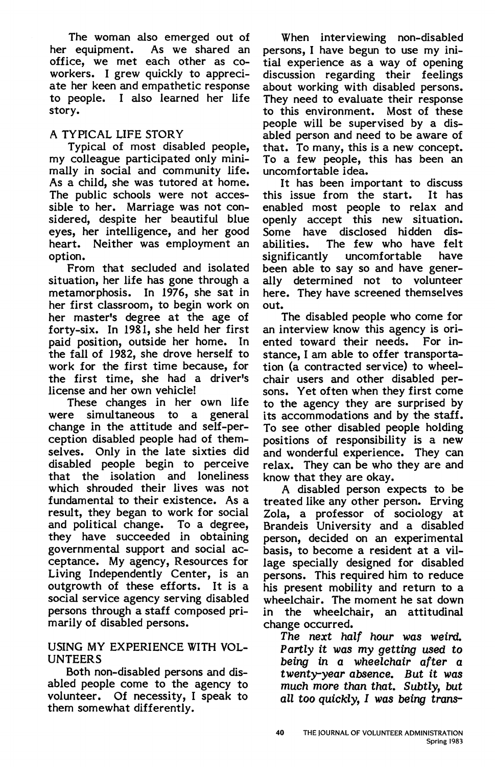The woman also emerged out of her equipment. As we shared an office, we met each other as coworkers. I grew quickly to appreciate her keen and empathetic response to people. I also learned her life story.

# A TYPICAL LIFE STORY

Typical of most disabled people, my colleague participated only minimally in social and community life. As a child, she was tutored at home. The public schools were not accessible to her. Marriage was not considered, despite her beautiful blue eyes, her intelligence, and her good heart. Neither was employment an option.

From that secluded and isolated situation, her life has gone through a metamorphosis. In 1976, she sat in her first classroom, to begin work on her master's degree at the age of forty-six. In 1981, she held her first paid position, outside her home. In the fall of 1982, she drove herself to work for the first time because, for the first time, she had a driver's license and her own vehicle!

These changes in her own life were simultaneous to a general change in the attitude and self-perception disabled people had of themselves. Only in the late sixties did disabled people begin to perceive that the isolation and loneliness which shrouded their lives was not fundamental to their existence. As a result, they began to work for social and political change. To a degree, they have succeeded in obtaining governmental support and social acceptance. My agency, Resources for Living Independently Center, is an outgrowth of these efforts. It is a social service agency serving disabled persons through a staff composed primarily of disabled persons.

#### USING MY EXPERIENCE WITH VOL-UNTEERS

Both non-disabled persons and disabled people come to the agency to volunteer. Of necessity, I speak to them somewhat differently.

When interviewing non-disabled persons, I have begun to use my initial experience as a way of opening discussion regarding their feelings about working with disabled persons. They need to evaluate their response to this environment. Most of these people will be supervised by a disabled person and need to be aware of that. To many, this is a new concept. To a few people, this has been an uncomfortable idea.

It has been important to discuss this issue from the start. It has enabled most people to relax and openly accept this new situation.<br>Some have disclosed hidden dis-Some have disclosed hidden<br>abilities. The few who have The few who have felt significantly uncomfortable have been able to say so and have generally determined not to volunteer here. They have screened themselves out.

The disabled people who come for an interview know this agency is ori-<br>ented toward their needs. For inented toward their needs. stance. I am able to offer transportation (a contracted service) to wheelchair users and other disabled persons. Yet often when they first come to the agency they are surprised by its accommodations and by the staff. To see other disabled people holding positions of responsibility is a new and wonderful experience. They can relax. They can be who they are and know that they are okay.

A disabled person expects to be treated like any other person. Erving Zola, a professor of sociology at Brandeis University and a disabled person, decided on an experimental basis, to become a resident at a village specially designed for disabled persons. This required him to reduce his present mobility and return to a wheelchair. The moment he sat down in the wheelchair, an attitudinal change occurred.

The next half hour was weird. Partly it was my getting used to being in a wheelchair after a twenty-year absence. But it was much more than that. Subtly, but all too quickly, I was being trans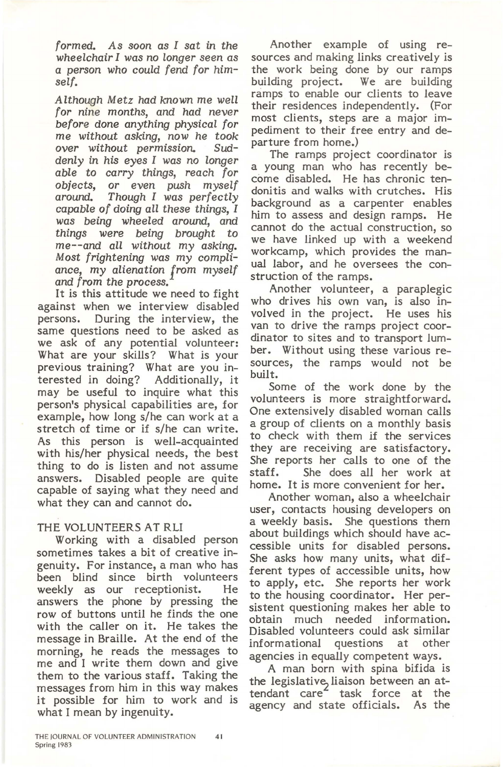formed. As soon as I sat in the wheelchair I was no longer seen as a person who could fend for himself.

Although Metz had known me well for nine months, and had never before done anything physical for me without asking, now he took over without permission. Suddenly in his eyes I was no longer able to carry things, reach for objects, or even push myself<br>around. Though I was perfectly Though I was perfectly capable of doing all these things, I was being wheeled around, and things were being brought to me--and all without my asking. Most frightening was my compliance, my alienation from myself and from the process.

It is this attitude we need to fight against when we interview disabled persons. During the interview, the same questions need to be asked as we ask of any potential volunteer: What are your skills? What is your previous training? What are you interested in doing? Additionally, it may be useful to inquire what this person's physical capabilities are, for example, how longs/he can work at a stretch of time or if s/he can write. As this person is well-acquainted with his/her physical needs, the best thing to do is listen and not assume answers. Disabled people are quite capable of saying what they need and what they can and cannot do.

# THE VOLUNTEERS AT RLI

Working with a disabled person sometimes takes a bit of creative ingenuity. For instance, a man who has been blind since birth volunteers weekly as our receptionist. He answers the phone by pressing the row of buttons until he finds the one with the caller on it. He takes the message in Braille. At the end of the morning, he reads the messages to me and I write them down and give them to the various staff. Taking the messages from him in this way makes it possible for him to work and is what I mean by ingenuity.

Another example of using resources and making links creatively is the work being done by our ramps building project. We are building ramps to enable our clients to leave their residences independently. (For most clients, steps are a major impediment to their free entry and departure from home.)

The ramps project coordinator is a young man who has recently become disabled. He has chronic tendonitis and walks with crutches. His background as a carpenter enables him to assess and design ramps. He cannot do the actual construction, so we have linked up with a weekend workcamp, which provides the manual labor, and he oversees the construction of the ramps.

Another volunteer, a paraplegic who drives his own van, is also involved in the project. He uses his van to drive the ramps project coordinator to sites and to transport lumber. Without using these various resources, the ramps would not be built.

Some of the work done by the volunteers is more straightforward. One extensively disabled woman calls a group of clients on a monthly basis to check with them if the services they are receiving are satisfactory. She reports her calls to one of the staff. She does all her work at home. It is more convenient for her.

Another woman, also a wheelchair user, contacts housing developers on a weekly basis. She questions them about buildings which should have accessible units for disabled persons. She asks how many units, what different types of accessible units, how to apply, etc. She reports her work to the housing coordinator. Her persistent questioning makes her able to obtain much needed information. Disabled volunteers could ask similar informational questions at other agencies in equally competent ways.

A man born with spina bifida is the legislative, liaison between an attendant care<sup>2</sup> task force at the agency and state officials. As the